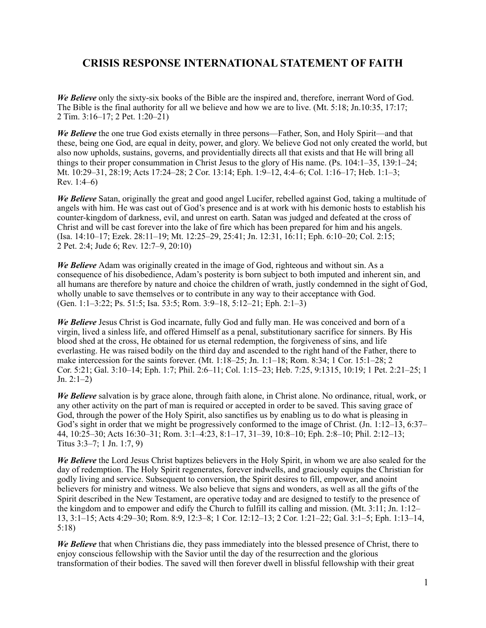## **CRISIS RESPONSE INTERNATIONAL STATEMENT OF FAITH**

*We Believe* only the sixty-six books of the Bible are the inspired and, therefore, inerrant Word of God. The Bible is the final authority for all we believe and how we are to live. (Mt. 5:18; Jn.10:35, 17:17; 2 Tim. 3:16–17; 2 Pet. 1:20–21)

*We Believe* the one true God exists eternally in three persons—Father, Son, and Holy Spirit—and that these, being one God, are equal in deity, power, and glory. We believe God not only created the world, but also now upholds, sustains, governs, and providentially directs all that exists and that He will bring all things to their proper consummation in Christ Jesus to the glory of His name. (Ps. 104:1–35, 139:1–24; Mt. 10:29–31, 28:19; Acts 17:24–28; 2 Cor. 13:14; Eph. 1:9–12, 4:4–6; Col. 1:16–17; Heb. 1:1–3; Rev. 1:4–6)

*We Believe* Satan, originally the great and good angel Lucifer, rebelled against God, taking a multitude of angels with him. He was cast out of God's presence and is at work with his demonic hosts to establish his counter-kingdom of darkness, evil, and unrest on earth. Satan was judged and defeated at the cross of Christ and will be cast forever into the lake of fire which has been prepared for him and his angels. (Isa. 14:10–17; Ezek. 28:11–19; Mt. 12:25–29, 25:41; Jn. 12:31, 16:11; Eph. 6:10–20; Col. 2:15; 2 Pet. 2:4; Jude 6; Rev. 12:7–9, 20:10)

*We Believe* Adam was originally created in the image of God, righteous and without sin. As a consequence of his disobedience, Adam's posterity is born subject to both imputed and inherent sin, and all humans are therefore by nature and choice the children of wrath, justly condemned in the sight of God, wholly unable to save themselves or to contribute in any way to their acceptance with God. (Gen. 1:1–3:22; Ps. 51:5; Isa. 53:5; Rom. 3:9–18, 5:12–21; Eph. 2:1–3)

*We Believe* Jesus Christ is God incarnate, fully God and fully man. He was conceived and born of a virgin, lived a sinless life, and offered Himself as a penal, substitutionary sacrifice for sinners. By His blood shed at the cross, He obtained for us eternal redemption, the forgiveness of sins, and life everlasting. He was raised bodily on the third day and ascended to the right hand of the Father, there to make intercession for the saints forever. (Mt. 1:18–25; Jn. 1:1–18; Rom. 8:34; 1 Cor. 15:1–28; 2 Cor. 5:21; Gal. 3:10–14; Eph. 1:7; Phil. 2:6–11; Col. 1:15–23; Heb. 7:25, 9:1315, 10:19; 1 Pet. 2:21–25; 1 Jn.  $2:1-2)$ 

*We Believe* salvation is by grace alone, through faith alone, in Christ alone. No ordinance, ritual, work, or any other activity on the part of man is required or accepted in order to be saved. This saving grace of God, through the power of the Holy Spirit, also sanctifies us by enabling us to do what is pleasing in God's sight in order that we might be progressively conformed to the image of Christ. (Jn. 1:12–13, 6:37– 44, 10:25–30; Acts 16:30–31; Rom. 3:1–4:23, 8:1–17, 31–39, 10:8–10; Eph. 2:8–10; Phil. 2:12–13; Titus 3:3–7; 1 Jn. 1:7, 9)

*We Believe* the Lord Jesus Christ baptizes believers in the Holy Spirit, in whom we are also sealed for the day of redemption. The Holy Spirit regenerates, forever indwells, and graciously equips the Christian for godly living and service. Subsequent to conversion, the Spirit desires to fill, empower, and anoint believers for ministry and witness. We also believe that signs and wonders, as well as all the gifts of the Spirit described in the New Testament, are operative today and are designed to testify to the presence of the kingdom and to empower and edify the Church to fulfill its calling and mission. (Mt. 3:11; Jn. 1:12– 13, 3:1–15; Acts 4:29–30; Rom. 8:9, 12:3–8; 1 Cor. 12:12–13; 2 Cor. 1:21–22; Gal. 3:1–5; Eph. 1:13–14, 5:18)

*We Believe* that when Christians die, they pass immediately into the blessed presence of Christ, there to enjoy conscious fellowship with the Savior until the day of the resurrection and the glorious transformation of their bodies. The saved will then forever dwell in blissful fellowship with their great